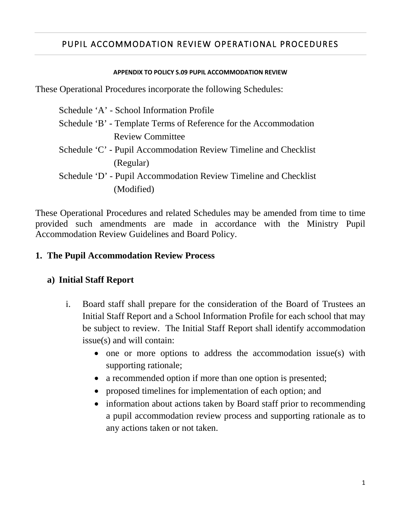# PUPIL ACCOMMODATION REVIEW OPERATIONAL PROCEDURES

#### **APPENDIX TO POLICY S.09 PUPIL ACCOMMODATION REVIEW**

These Operational Procedures incorporate the following Schedules:

| Schedule 'A' - School Information Profile                        |
|------------------------------------------------------------------|
| Schedule 'B' - Template Terms of Reference for the Accommodation |
| <b>Review Committee</b>                                          |
| Schedule 'C' - Pupil Accommodation Review Timeline and Checklist |
| (Regular)                                                        |
| Schedule 'D' - Pupil Accommodation Review Timeline and Checklist |
| (Modified)                                                       |

These Operational Procedures and related Schedules may be amended from time to time provided such amendments are made in accordance with the Ministry Pupil Accommodation Review Guidelines and Board Policy.

## **1. The Pupil Accommodation Review Process**

## **a) Initial Staff Report**

- i. Board staff shall prepare for the consideration of the Board of Trustees an Initial Staff Report and a School Information Profile for each school that may be subject to review. The Initial Staff Report shall identify accommodation issue(s) and will contain:
	- one or more options to address the accommodation issue(s) with supporting rationale;
	- a recommended option if more than one option is presented;
	- proposed timelines for implementation of each option; and
	- • information about actions taken by Board staff prior to recommending a pupil accommodation review process and supporting rationale as to any actions taken or not taken.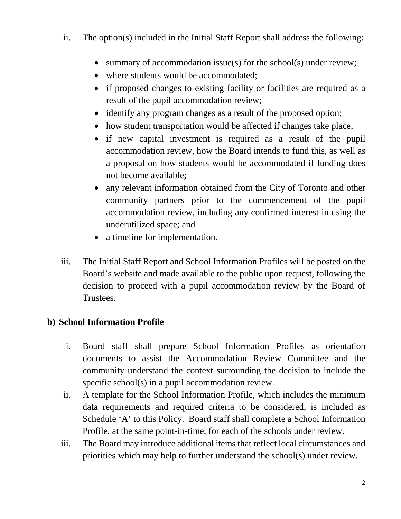- ii. The option(s) included in the Initial Staff Report shall address the following:
	- summary of accommodation issue(s) for the school(s) under review;
	- where students would be accommodated;
	- if proposed changes to existing facility or facilities are required as a result of the pupil accommodation review;
	- identify any program changes as a result of the proposed option;
	- how student transportation would be affected if changes take place;
	- if new capital investment is required as a result of the pupil accommodation review, how the Board intends to fund this, as well as a proposal on how students would be accommodated if funding does not become available;
	- any relevant information obtained from the City of Toronto and other community partners prior to the commencement of the pupil accommodation review, including any confirmed interest in using the underutilized space; and
	- a timeline for implementation.
- Board's website and made available to the public upon request, following the decision to proceed with a pupil accommodation review by the Board of iii. The Initial Staff Report and School Information Profiles will be posted on the Trustees.

## **b) School Information Profile**

- documents to assist the Accommodation Review Committee and the specific school(s) in a pupil accommodation review. i. Board staff shall prepare School Information Profiles as orientation community understand the context surrounding the decision to include the
- ii. A template for the School Information Profile, which includes the minimum data requirements and required criteria to be considered, is included as Schedule 'A' to this Policy. Board staff shall complete a School Information Profile, at the same point-in-time, for each of the schools under review.
- iii. The Board may introduce additional items that reflect local circumstances and priorities which may help to further understand the school(s) under review.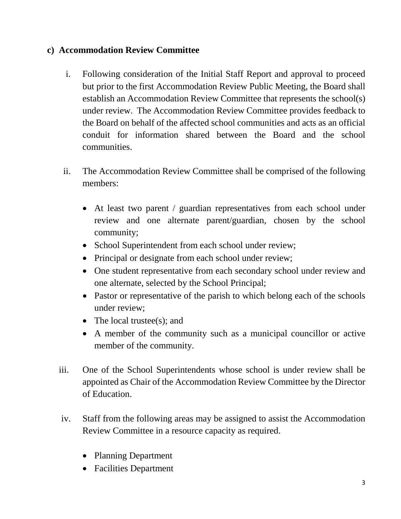## **c) Accommodation Review Committee**

- establish an Accommodation Review Committee that represents the school(s) under review. The Accommodation Review Committee provides feedback to i. Following consideration of the Initial Staff Report and approval to proceed but prior to the first Accommodation Review Public Meeting, the Board shall the Board on behalf of the affected school communities and acts as an official conduit for information shared between the Board and the school communities.
- ii. The Accommodation Review Committee shall be comprised of the following members:
	- At least two parent / guardian representatives from each school under review and one alternate parent/guardian, chosen by the school community;
	- School Superintendent from each school under review;
	- Principal or designate from each school under review;
	- One student representative from each secondary school under review and one alternate, selected by the School Principal;
	- • Pastor or representative of the parish to which belong each of the schools under review;
	- The local trustee(s); and
	- A member of the community such as a municipal councillor or active member of the community.
- iii. One of the School Superintendents whose school is under review shall be appointed as Chair of the Accommodation Review Committee by the Director of Education.
- Review Committee in a resource capacity as required. iv. Staff from the following areas may be assigned to assist the Accommodation
	- Planning Department
	- Facilities Department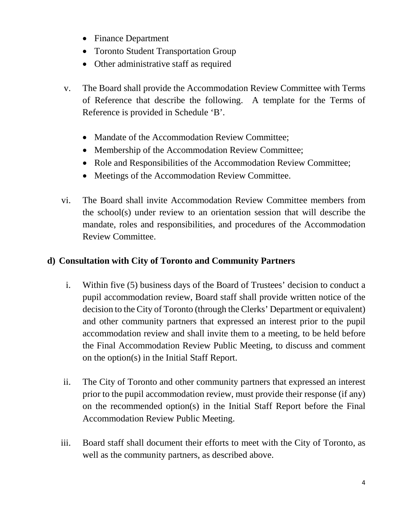- Finance Department
- Toronto Student Transportation Group
- Other administrative staff as required
- of Reference that describe the following. A template for the Terms of v. The Board shall provide the Accommodation Review Committee with Terms Reference is provided in Schedule 'B'.
	- Mandate of the Accommodation Review Committee;
	- Membership of the Accommodation Review Committee;
	- Role and Responsibilities of the Accommodation Review Committee;
	- Meetings of the Accommodation Review Committee.
- mandate, roles and responsibilities, and procedures of the Accommodation vi. The Board shall invite Accommodation Review Committee members from the school(s) under review to an orientation session that will describe the Review Committee.

# **d) Consultation with City of Toronto and Community Partners**

- pupil accommodation review, Board staff shall provide written notice of the and other community partners that expressed an interest prior to the pupil i. Within five (5) business days of the Board of Trustees' decision to conduct a decision to the City of Toronto (through the Clerks' Department or equivalent) accommodation review and shall invite them to a meeting, to be held before the Final Accommodation Review Public Meeting, to discuss and comment on the option(s) in the Initial Staff Report.
- prior to the pupil accommodation review, must provide their response (if any) ii. The City of Toronto and other community partners that expressed an interest on the recommended option(s) in the Initial Staff Report before the Final Accommodation Review Public Meeting.
- iii. Board staff shall document their efforts to meet with the City of Toronto, as well as the community partners, as described above.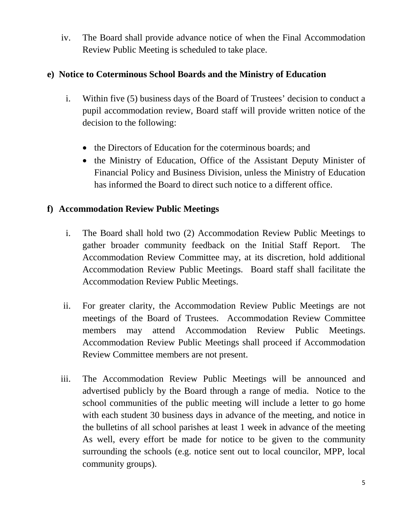iv. The Board shall provide advance notice of when the Final Accommodation Review Public Meeting is scheduled to take place.

## **e) Notice to Coterminous School Boards and the Ministry of Education**

- pupil accommodation review, Board staff will provide written notice of the i. Within five (5) business days of the Board of Trustees' decision to conduct a decision to the following:
	- the Directors of Education for the coterminous boards; and
	- • the Ministry of Education, Office of the Assistant Deputy Minister of Financial Policy and Business Division, unless the Ministry of Education has informed the Board to direct such notice to a different office.

## **f) Accommodation Review Public Meetings**

- gather broader community feedback on the Initial Staff Report. The Accommodation Review Public Meetings. Board staff shall facilitate the i. The Board shall hold two (2) Accommodation Review Public Meetings to Accommodation Review Committee may, at its discretion, hold additional Accommodation Review Public Meetings.
- ii. For greater clarity, the Accommodation Review Public Meetings are not meetings of the Board of Trustees. Accommodation Review Committee attend Accommodation Review Public Meetings. members may attend Accommodation Review Public Meetings. Accommodation Review Public Meetings shall proceed if Accommodation Review Committee members are not present.
- advertised publicly by the Board through a range of media. Notice to the school communities of the public meeting will include a letter to go home with each student 30 business days in advance of the meeting, and notice in the bulletins of all school parishes at least 1 week in advance of the meeting iii. The Accommodation Review Public Meetings will be announced and As well, every effort be made for notice to be given to the community surrounding the schools (e.g. notice sent out to local councilor, MPP, local community groups).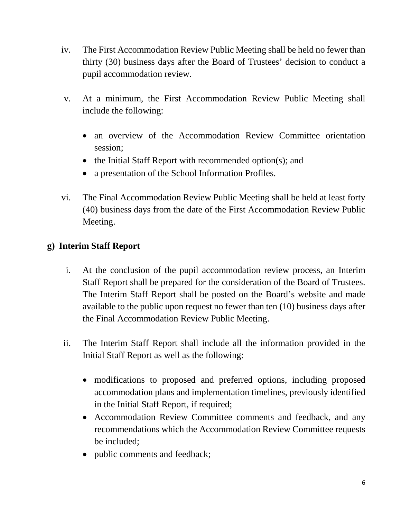- iv. The First Accommodation Review Public Meeting shall be held no fewer than thirty (30) business days after the Board of Trustees' decision to conduct a pupil accommodation review.
- v. At a minimum, the First Accommodation Review Public Meeting shall include the following:
	- an overview of the Accommodation Review Committee orientation session;
	- the Initial Staff Report with recommended option(s); and
	- a presentation of the School Information Profiles.
- vi. The Final Accommodation Review Public Meeting shall be held at least forty (40) business days from the date of the First Accommodation Review Public Meeting.

# **g) Interim Staff Report**

- The Interim Staff Report shall be posted on the Board's website and made i. At the conclusion of the pupil accommodation review process, an Interim Staff Report shall be prepared for the consideration of the Board of Trustees. available to the public upon request no fewer than ten (10) business days after the Final Accommodation Review Public Meeting.
- ii. The Interim Staff Report shall include all the information provided in the Initial Staff Report as well as the following:
	- modifications to proposed and preferred options, including proposed accommodation plans and implementation timelines, previously identified in the Initial Staff Report, if required;
	- Accommodation Review Committee comments and feedback, and any recommendations which the Accommodation Review Committee requests be included;
	- public comments and feedback;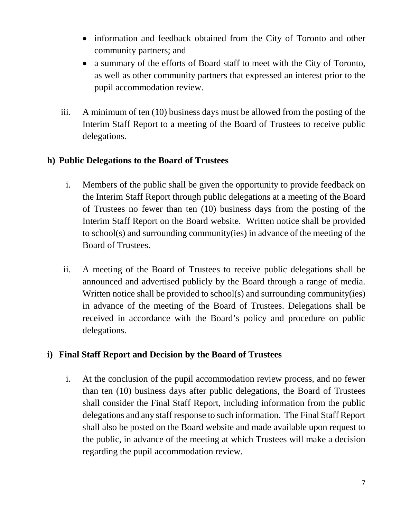- information and feedback obtained from the City of Toronto and other community partners; and
- a summary of the efforts of Board staff to meet with the City of Toronto, as well as other community partners that expressed an interest prior to the pupil accommodation review.
- iii. A minimum of ten (10) business days must be allowed from the posting of the Interim Staff Report to a meeting of the Board of Trustees to receive public delegations.

## **h) Public Delegations to the Board of Trustees**

- the Interim Staff Report through public delegations at a meeting of the Board Interim Staff Report on the Board website. Written notice shall be provided to school(s) and surrounding community(ies) in advance of the meeting of the i. Members of the public shall be given the opportunity to provide feedback on of Trustees no fewer than ten (10) business days from the posting of the Board of Trustees.
- ii. A meeting of the Board of Trustees to receive public delegations shall be announced and advertised publicly by the Board through a range of media. Written notice shall be provided to school(s) and surrounding community(ies) in advance of the meeting of the Board of Trustees. Delegations shall be received in accordance with the Board's policy and procedure on public delegations.

## **i) Final Staff Report and Decision by the Board of Trustees**

 i. At the conclusion of the pupil accommodation review process, and no fewer than ten (10) business days after public delegations, the Board of Trustees shall consider the Final Staff Report, including information from the public delegations and any staff response to such information. The Final Staff Report shall also be posted on the Board website and made available upon request to the public, in advance of the meeting at which Trustees will make a decision regarding the pupil accommodation review.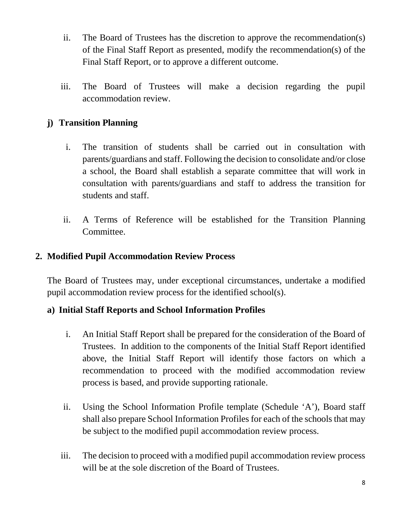- ii. The Board of Trustees has the discretion to approve the recommendation(s) of the Final Staff Report as presented, modify the recommendation(s) of the Final Staff Report, or to approve a different outcome.
- iii. The Board of Trustees will make a decision regarding the pupil accommodation review.

## **j) Transition Planning**

- i. The transition of students shall be carried out in consultation with parents/guardians and staff. Following the decision to consolidate and/or close a school, the Board shall establish a separate committee that will work in consultation with parents/guardians and staff to address the transition for students and staff.
- ii. A Terms of Reference will be established for the Transition Planning Committee.

#### **2. Modified Pupil Accommodation Review Process**

 The Board of Trustees may, under exceptional circumstances, undertake a modified pupil accommodation review process for the identified school(s).

#### **a) Initial Staff Reports and School Information Profiles**

- Trustees. In addition to the components of the Initial Staff Report identified process is based, and provide supporting rationale. i. An Initial Staff Report shall be prepared for the consideration of the Board of above, the Initial Staff Report will identify those factors on which a recommendation to proceed with the modified accommodation review
- ii. Using the School Information Profile template (Schedule 'A'), Board staff shall also prepare School Information Profiles for each of the schools that may be subject to the modified pupil accommodation review process.
- iii. The decision to proceed with a modified pupil accommodation review process will be at the sole discretion of the Board of Trustees.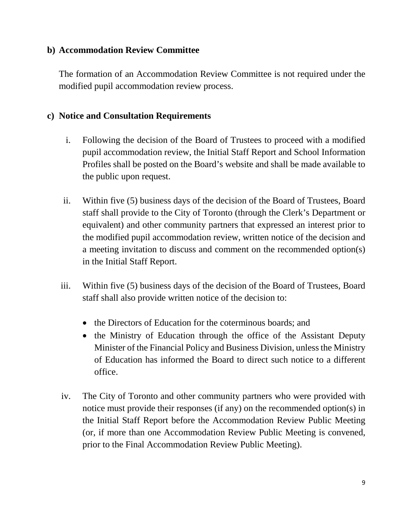#### **b) Accommodation Review Committee**

The formation of an Accommodation Review Committee is not required under the modified pupil accommodation review process.

#### **c) Notice and Consultation Requirements**

- i. Following the decision of the Board of Trustees to proceed with a modified pupil accommodation review, the Initial Staff Report and School Information Profiles shall be posted on the Board's website and shall be made available to the public upon request.
- ii. Within five (5) business days of the decision of the Board of Trustees, Board staff shall provide to the City of Toronto (through the Clerk's Department or equivalent) and other community partners that expressed an interest prior to the modified pupil accommodation review, written notice of the decision and a meeting invitation to discuss and comment on the recommended option(s) in the Initial Staff Report.
- iii. Within five (5) business days of the decision of the Board of Trustees, Board staff shall also provide written notice of the decision to:
	- the Directors of Education for the coterminous boards; and
	- of Education has informed the Board to direct such notice to a different • the Ministry of Education through the office of the Assistant Deputy Minister of the Financial Policy and Business Division, unless the Ministry office.
- iv. The City of Toronto and other community partners who were provided with notice must provide their responses (if any) on the recommended option(s) in the Initial Staff Report before the Accommodation Review Public Meeting (or, if more than one Accommodation Review Public Meeting is convened, prior to the Final Accommodation Review Public Meeting).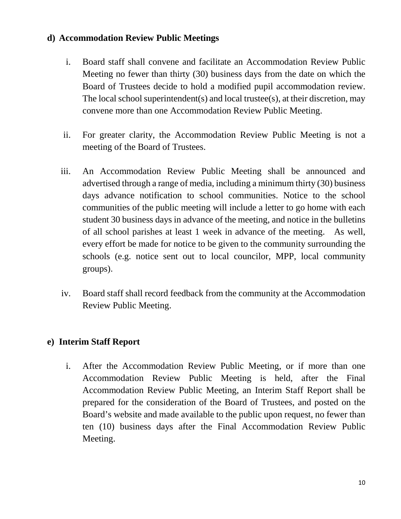#### **d) Accommodation Review Public Meetings**

- Meeting no fewer than thirty (30) business days from the date on which the Board of Trustees decide to hold a modified pupil accommodation review. Board of Trustees decide to hold a modified pupil accommodation review. The local school superintendent(s) and local trustee(s), at their discretion, may i. Board staff shall convene and facilitate an Accommodation Review Public convene more than one Accommodation Review Public Meeting.
- ii. For greater clarity, the Accommodation Review Public Meeting is not a meeting of the Board of Trustees.
- advertised through a range of media, including a minimum thirty (30) business communities of the public meeting will include a letter to go home with each of all school parishes at least 1 week in advance of the meeting. As well, iii. An Accommodation Review Public Meeting shall be announced and days advance notification to school communities. Notice to the school student 30 business days in advance of the meeting, and notice in the bulletins every effort be made for notice to be given to the community surrounding the schools (e.g. notice sent out to local councilor, MPP, local community groups).
- iv. Board staff shall record feedback from the community at the Accommodation Review Public Meeting.

## **e) Interim Staff Report**

 Board's website and made available to the public upon request, no fewer than i. After the Accommodation Review Public Meeting, or if more than one Accommodation Review Public Meeting is held, after the Final Accommodation Review Public Meeting, an Interim Staff Report shall be prepared for the consideration of the Board of Trustees, and posted on the ten (10) business days after the Final Accommodation Review Public Meeting.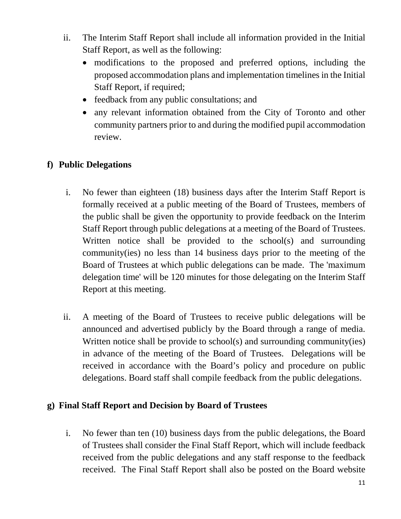- ii. The Interim Staff Report shall include all information provided in the Initial Staff Report, as well as the following:
	- proposed accommodation plans and implementation timelines in the Initial • modifications to the proposed and preferred options, including the Staff Report, if required;
	- feedback from any public consultations; and
	- any relevant information obtained from the City of Toronto and other community partners prior to and during the modified pupil accommodation review.

# **f) Public Delegations**

- the public shall be given the opportunity to provide feedback on the Interim Staff Report through public delegations at a meeting of the Board of Trustees. community(ies) no less than 14 business days prior to the meeting of the delegation time' will be 120 minutes for those delegating on the Interim Staff Report at this meeting. i. No fewer than eighteen (18) business days after the Interim Staff Report is formally received at a public meeting of the Board of Trustees, members of Written notice shall be provided to the school(s) and surrounding Board of Trustees at which public delegations can be made. The 'maximum
- announced and advertised publicly by the Board through a range of media. in advance of the meeting of the Board of Trustees. Delegations will be ii. A meeting of the Board of Trustees to receive public delegations will be Written notice shall be provide to school(s) and surrounding community(ies) received in accordance with the Board's policy and procedure on public delegations. Board staff shall compile feedback from the public delegations.

## **g) Final Staff Report and Decision by Board of Trustees**

 received from the public delegations and any staff response to the feedback i. No fewer than ten (10) business days from the public delegations, the Board of Trustees shall consider the Final Staff Report, which will include feedback received. The Final Staff Report shall also be posted on the Board website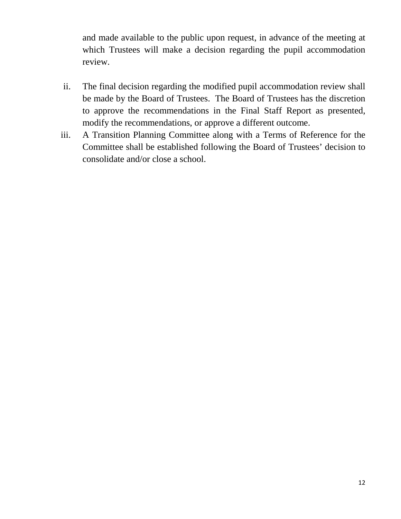and made available to the public upon request, in advance of the meeting at which Trustees will make a decision regarding the pupil accommodation review.

- be made by the Board of Trustees. The Board of Trustees has the discretion ii. The final decision regarding the modified pupil accommodation review shall to approve the recommendations in the Final Staff Report as presented, modify the recommendations, or approve a different outcome.
- iii. A Transition Planning Committee along with a Terms of Reference for the Committee shall be established following the Board of Trustees' decision to consolidate and/or close a school.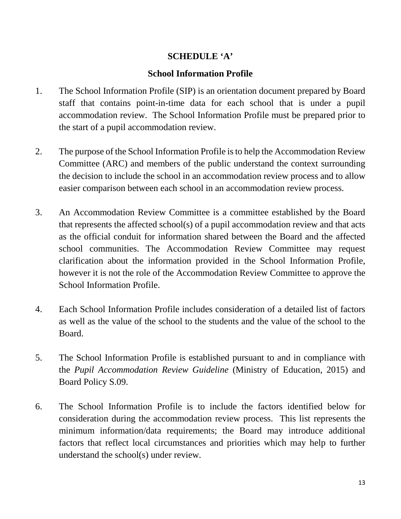## **SCHEDULE 'A'**

#### **School Information Profile**

- 1. The School Information Profile (SIP) is an orientation document prepared by Board staff that contains point-in-time data for each school that is under a pupil accommodation review. The School Information Profile must be prepared prior to the start of a pupil accommodation review.
- 2. The purpose of the School Information Profile is to help the Accommodation Review Committee (ARC) and members of the public understand the context surrounding the decision to include the school in an accommodation review process and to allow easier comparison between each school in an accommodation review process.
- as the official conduit for information shared between the Board and the affected however it is not the role of the Accommodation Review Committee to approve the 3. An Accommodation Review Committee is a committee established by the Board that represents the affected school(s) of a pupil accommodation review and that acts school communities. The Accommodation Review Committee may request clarification about the information provided in the School Information Profile, School Information Profile.
- as well as the value of the school to the students and the value of the school to the 4. Each School Information Profile includes consideration of a detailed list of factors Board.
- 5. The School Information Profile is established pursuant to and in compliance with the *Pupil Accommodation Review Guideline* (Ministry of Education, 2015) and Board Policy S.09.
- 6. The School Information Profile is to include the factors identified below for consideration during the accommodation review process. This list represents the minimum information/data requirements; the Board may introduce additional factors that reflect local circumstances and priorities which may help to further understand the school(s) under review.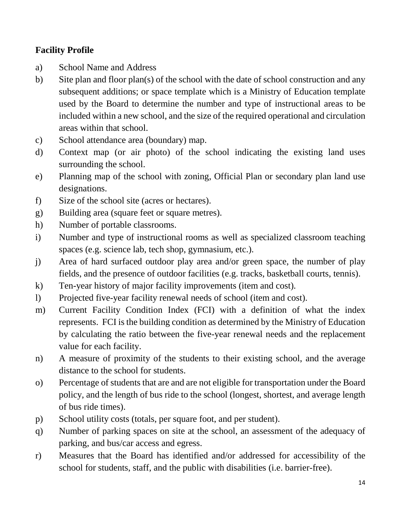## **Facility Profile**

- a) School Name and Address
- b) Site plan and floor plan(s) of the school with the date of school construction and any areas within that school. subsequent additions; or space template which is a Ministry of Education template used by the Board to determine the number and type of instructional areas to be included within a new school, and the size of the required operational and circulation
- School attendance area (boundary) map.
- c) School attendance area (boundary) map.<br>d) Context map (or air photo) of the school indicating the existing land uses surrounding the school.
- designations. e) Planning map of the school with zoning, Official Plan or secondary plan land use
- 
- designations.<br>
f) Size of the school site (acres or hectares).<br>
g) Building area (square feet or square metres).
- h) Number of portable classrooms.
- i) Number and type of instructional rooms as well as specialized classroom teaching spaces (e.g. science lab, tech shop, gymnasium, etc.).
- j) Area of hard surfaced outdoor play area and/or green space, the number of play fields, and the presence of outdoor facilities (e.g. tracks, basketball courts, tennis).
- k) Ten-year history of major facility improvements (item and cost).
- l) Projected five-year facility renewal needs of school (item and cost).
- m) Current Facility Condition Index (FCI) with a definition of what the index represents. FCI is the building condition as determined by the Ministry of Education by calculating the ratio between the five-year renewal needs and the replacement value for each facility.
- n) A measure of proximity of the students to their existing school, and the average distance to the school for students.
- o) Percentage of students that are and are not eligible for transportation under the Board policy, and the length of bus ride to the school (longest, shortest, and average length of bus ride times).
- p) School utility costs (totals, per square foot, and per student).
- q) Number of parking spaces on site at the school, an assessment of the adequacy of parking, and bus/car access and egress.
- r) Measures that the Board has identified and/or addressed for accessibility of the school for students, staff, and the public with disabilities (i.e. barrier-free).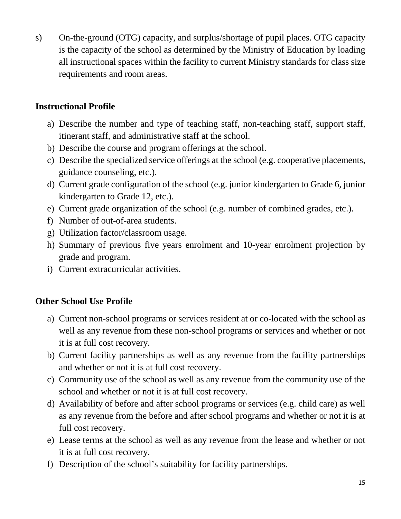s) On-the-ground (OTG) capacity, and surplus/shortage of pupil places. OTG capacity is the capacity of the school as determined by the Ministry of Education by loading all instructional spaces within the facility to current Ministry standards for class size requirements and room areas.

## **Instructional Profile**

- a) Describe the number and type of teaching staff, non-teaching staff, support staff, itinerant staff, and administrative staff at the school.
- b) Describe the course and program offerings at the school.
- c) Describe the specialized service offerings at the school (e.g. cooperative placements, guidance counseling, etc.).
- d) Current grade configuration of the school (e.g. junior kindergarten to Grade 6, junior kindergarten to Grade 12, etc.).
- e) Current grade organization of the school (e.g. number of combined grades, etc.).
- f) Number of out-of-area students.
- g) Utilization factor/classroom usage.
- h) Summary of previous five years enrolment and 10-year enrolment projection by grade and program.
- i) Current extracurricular activities.

## **Other School Use Profile**

- well as any revenue from these non-school programs or services and whether or not a) Current non-school programs or services resident at or co-located with the school as it is at full cost recovery.
- b) Current facility partnerships as well as any revenue from the facility partnerships and whether or not it is at full cost recovery.
- c) Community use of the school as well as any revenue from the community use of the school and whether or not it is at full cost recovery.
- d) Availability of before and after school programs or services (e.g. child care) as well as any revenue from the before and after school programs and whether or not it is at full cost recovery.
- e) Lease terms at the school as well as any revenue from the lease and whether or not it is at full cost recovery.
- f) Description of the school's suitability for facility partnerships.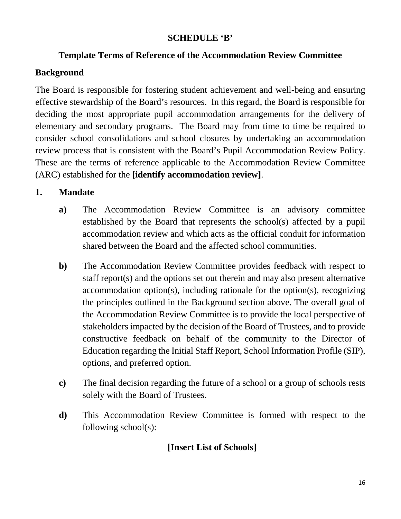#### **SCHEDULE 'B'**

## **Template Terms of Reference of the Accommodation Review Committee**

## **Background**

review process that is consistent with the Board's Pupil Accommodation Review Policy. review process that is consistent with the Board's Pupil Accommodation Review Policy. These are the terms of reference applicable to the Accommodation Review Committee The Board is responsible for fostering student achievement and well-being and ensuring effective stewardship of the Board's resources. In this regard, the Board is responsible for deciding the most appropriate pupil accommodation arrangements for the delivery of elementary and secondary programs. The Board may from time to time be required to consider school consolidations and school closures by undertaking an accommodation (ARC) established for the **[identify accommodation review]**.

## **1. Mandate**

- established by the Board that represents the school(s) affected by a pupil **a)** The Accommodation Review Committee is an advisory committee accommodation review and which acts as the official conduit for information shared between the Board and the affected school communities.
- the Accommodation Review Committee is to provide the local perspective of constructive feedback on behalf of the community to the Director of **b**) The Accommodation Review Committee provides feedback with respect to staff report(s) and the options set out therein and may also present alternative accommodation option(s), including rationale for the option(s), recognizing the principles outlined in the Background section above. The overall goal of stakeholders impacted by the decision of the Board of Trustees, and to provide Education regarding the Initial Staff Report, School Information Profile (SIP), options, and preferred option.
- **c)** The final decision regarding the future of a school or a group of schools rests solely with the Board of Trustees.
- **d)** This Accommodation Review Committee is formed with respect to the following school(s):

## **[Insert List of Schools]**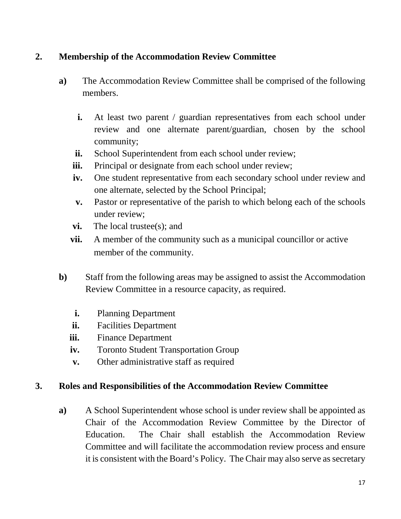## **2. Membership of the Accommodation Review Committee**

- **a)** The Accommodation Review Committee shall be comprised of the following members.
	- **i.** At least two parent / guardian representatives from each school under review and one alternate parent/guardian, chosen by the school community;
	- **ii.** School Superintendent from each school under review;
	- **iii.** Principal or designate from each school under review;
	- **iv.** One student representative from each secondary school under review and one alternate, selected by the School Principal;
	- **v.** Pastor or representative of the parish to which belong each of the schools under review;
	- **vi.** The local trustee(s); and
	- **vii.** A member of the community such as a municipal councillor or active member of the community.
- **b)** Staff from the following areas may be assigned to assist the Accommodation Review Committee in a resource capacity, as required.
	- **i.** Planning Department
	- **ii.** Facilities Department
	- **iii.** Finance Department
	- **iv.** Toronto Student Transportation Group
	- **v.** Other administrative staff as required

#### **3. Roles and Responsibilities of the Accommodation Review Committee**

 Chair of the Accommodation Review Committee by the Director of it is consistent with the Board's Policy. The Chair may also serve as secretary **a)** A School Superintendent whose school is under review shall be appointed as Education. The Chair shall establish the Accommodation Review Committee and will facilitate the accommodation review process and ensure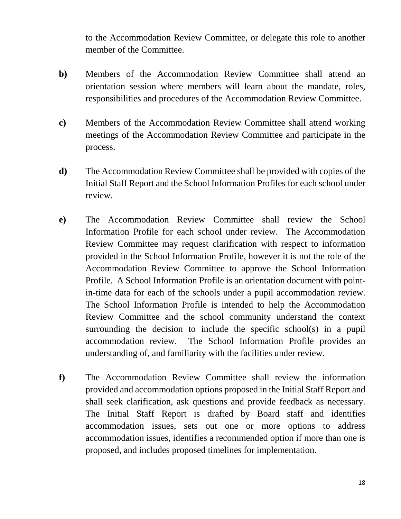to the Accommodation Review Committee, or delegate this role to another member of the Committee.

- orientation session where members will learn about the mandate, roles, **b)** Members of the Accommodation Review Committee shall attend an responsibilities and procedures of the Accommodation Review Committee.
- meetings of the Accommodation Review Committee and participate in the **c)** Members of the Accommodation Review Committee shall attend working process.
- **d)** The Accommodation Review Committee shall be provided with copies of the Initial Staff Report and the School Information Profiles for each school under review.
- provided in the School Information Profile, however it is not the role of the in-time data for each of the schools under a pupil accommodation review. **e)** The Accommodation Review Committee shall review the School Information Profile for each school under review. The Accommodation Review Committee may request clarification with respect to information Accommodation Review Committee to approve the School Information Profile. A School Information Profile is an orientation document with point-The School Information Profile is intended to help the Accommodation Review Committee and the school community understand the context surrounding the decision to include the specific school(s) in a pupil accommodation review. The School Information Profile provides an understanding of, and familiarity with the facilities under review.
- provided and accommodation options proposed in the Initial Staff Report and shall seek clarification, ask questions and provide feedback as necessary. **f)** The Accommodation Review Committee shall review the information The Initial Staff Report is drafted by Board staff and identifies accommodation issues, sets out one or more options to address accommodation issues, identifies a recommended option if more than one is proposed, and includes proposed timelines for implementation.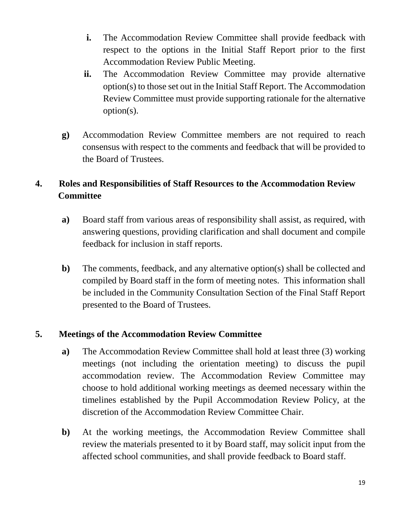- **i.** The Accommodation Review Committee shall provide feedback with respect to the options in the Initial Staff Report prior to the first Accommodation Review Public Meeting.
- option(s) to those set out in the Initial Staff Report. The Accommodation **ii.** The Accommodation Review Committee may provide alternative Review Committee must provide supporting rationale for the alternative option(s).
- **g)** Accommodation Review Committee members are not required to reach consensus with respect to the comments and feedback that will be provided to the Board of Trustees.

# **4. Roles and Responsibilities of Staff Resources to the Accommodation Review Committee**

- **a)** Board staff from various areas of responsibility shall assist, as required, with answering questions, providing clarification and shall document and compile feedback for inclusion in staff reports.
- **b)** The comments, feedback, and any alternative option(s) shall be collected and compiled by Board staff in the form of meeting notes. This information shall be included in the Community Consultation Section of the Final Staff Report presented to the Board of Trustees.

## **5. Meetings of the Accommodation Review Committee**

- discretion of the Accommodation Review Committee Chair. **a)** The Accommodation Review Committee shall hold at least three (3) working meetings (not including the orientation meeting) to discuss the pupil accommodation review. The Accommodation Review Committee may choose to hold additional working meetings as deemed necessary within the timelines established by the Pupil Accommodation Review Policy, at the
- **b)** At the working meetings, the Accommodation Review Committee shall review the materials presented to it by Board staff, may solicit input from the affected school communities, and shall provide feedback to Board staff.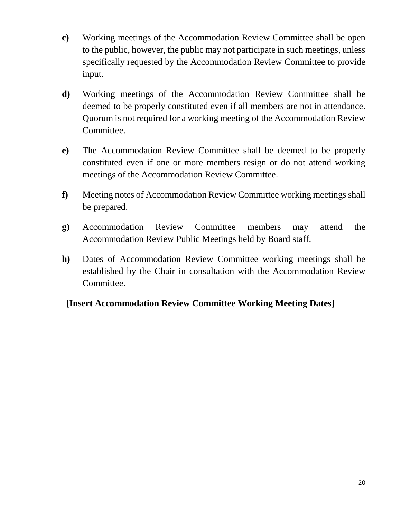- to the public, however, the public may not participate in such meetings, unless specifically requested by the Accommodation Review Committee to provide **c)** Working meetings of the Accommodation Review Committee shall be open input.
- deemed to be properly constituted even if all members are not in attendance. **d)** Working meetings of the Accommodation Review Committee shall be Quorum is not required for a working meeting of the Accommodation Review Committee.
- **e)** The Accommodation Review Committee shall be deemed to be properly constituted even if one or more members resign or do not attend working meetings of the Accommodation Review Committee.
- **f)** Meeting notes of Accommodation Review Committee working meetings shall be prepared.
- **g)** Accommodation Review Committee members may attend the Accommodation Review Public Meetings held by Board staff.
- **h)** Dates of Accommodation Review Committee working meetings shall be established by the Chair in consultation with the Accommodation Review Committee.

## **[Insert Accommodation Review Committee Working Meeting Dates]**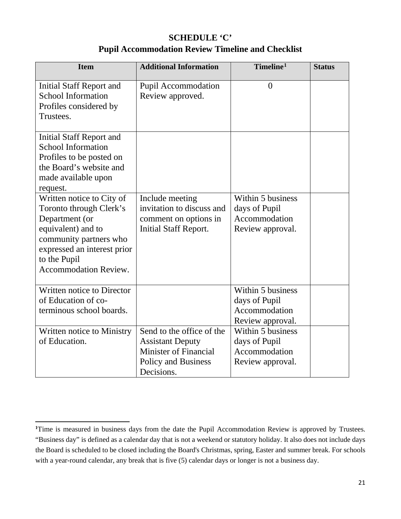### **SCHEDULE 'C' Pupil Accommodation Review Timeline and Checklist**

| <b>Item</b>                                                                                                                                                                                           | <b>Additional Information</b>                                                                                             | Timeline <sup>1</sup>                                                   | <b>Status</b> |
|-------------------------------------------------------------------------------------------------------------------------------------------------------------------------------------------------------|---------------------------------------------------------------------------------------------------------------------------|-------------------------------------------------------------------------|---------------|
| Initial Staff Report and<br><b>School Information</b><br>Profiles considered by<br>Trustees.                                                                                                          | <b>Pupil Accommodation</b><br>Review approved.                                                                            | $\overline{0}$                                                          |               |
| Initial Staff Report and<br><b>School Information</b><br>Profiles to be posted on<br>the Board's website and<br>made available upon<br>request.                                                       |                                                                                                                           |                                                                         |               |
| Written notice to City of<br>Toronto through Clerk's<br>Department (or<br>equivalent) and to<br>community partners who<br>expressed an interest prior<br>to the Pupil<br><b>Accommodation Review.</b> | Include meeting<br>invitation to discuss and<br>comment on options in<br><b>Initial Staff Report.</b>                     | Within 5 business<br>days of Pupil<br>Accommodation<br>Review approval. |               |
| Written notice to Director<br>of Education of co-<br>terminous school boards.                                                                                                                         |                                                                                                                           | Within 5 business<br>days of Pupil<br>Accommodation<br>Review approval. |               |
| Written notice to Ministry<br>of Education.                                                                                                                                                           | Send to the office of the<br><b>Assistant Deputy</b><br><b>Minister of Financial</b><br>Policy and Business<br>Decisions. | Within 5 business<br>days of Pupil<br>Accommodation<br>Review approval. |               |

 $\overline{\phantom{a}}$ 

<span id="page-20-0"></span><sup>&</sup>lt;sup>1</sup>Time is measured in business days from the date the Pupil Accommodation Review is approved by Trustees. with a year-round calendar, any break that is five (5) calendar days or longer is not a business day. "Business day" is defined as a calendar day that is not a weekend or statutory holiday. It also does not include days the Board is scheduled to be closed including the Board's Christmas, spring, Easter and summer break. For schools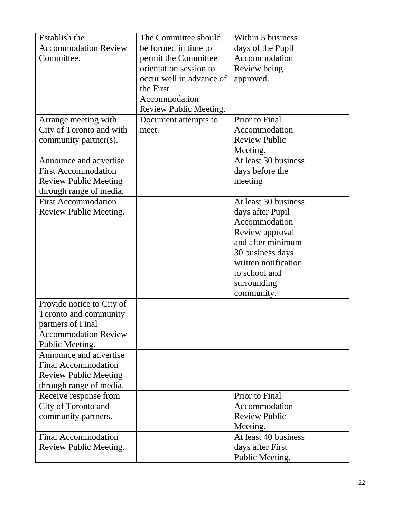| Establish the                | The Committee should     | Within 5 business                     |  |
|------------------------------|--------------------------|---------------------------------------|--|
| <b>Accommodation Review</b>  | be formed in time to     | days of the Pupil                     |  |
| Committee.                   | permit the Committee     | Accommodation                         |  |
|                              | orientation session to   | Review being                          |  |
|                              | occur well in advance of | approved.                             |  |
|                              | the First                |                                       |  |
|                              | Accommodation            |                                       |  |
|                              | Review Public Meeting.   |                                       |  |
| Arrange meeting with         | Document attempts to     | Prior to Final                        |  |
| City of Toronto and with     | meet.                    | Accommodation                         |  |
| community partner(s).        |                          | <b>Review Public</b>                  |  |
|                              |                          | Meeting.                              |  |
| Announce and advertise       |                          | At least 30 business                  |  |
| <b>First Accommodation</b>   |                          | days before the                       |  |
| <b>Review Public Meeting</b> |                          | meeting                               |  |
| through range of media.      |                          |                                       |  |
| <b>First Accommodation</b>   |                          | At least 30 business                  |  |
| Review Public Meeting.       |                          | days after Pupil                      |  |
|                              |                          | Accommodation                         |  |
|                              |                          | Review approval                       |  |
|                              |                          | and after minimum                     |  |
|                              |                          | 30 business days                      |  |
|                              |                          | written notification<br>to school and |  |
|                              |                          |                                       |  |
|                              |                          | surrounding<br>community.             |  |
| Provide notice to City of    |                          |                                       |  |
| Toronto and community        |                          |                                       |  |
| partners of Final            |                          |                                       |  |
| <b>Accommodation Review</b>  |                          |                                       |  |
| Public Meeting.              |                          |                                       |  |
| Announce and advertise       |                          |                                       |  |
| <b>Final Accommodation</b>   |                          |                                       |  |
| <b>Review Public Meeting</b> |                          |                                       |  |
| through range of media.      |                          |                                       |  |
| Receive response from        |                          | Prior to Final                        |  |
| City of Toronto and          |                          | Accommodation                         |  |
| community partners.          |                          | <b>Review Public</b>                  |  |
|                              |                          | Meeting.                              |  |
| <b>Final Accommodation</b>   |                          | At least 40 business                  |  |
| Review Public Meeting.       |                          | days after First                      |  |
|                              |                          | Public Meeting.                       |  |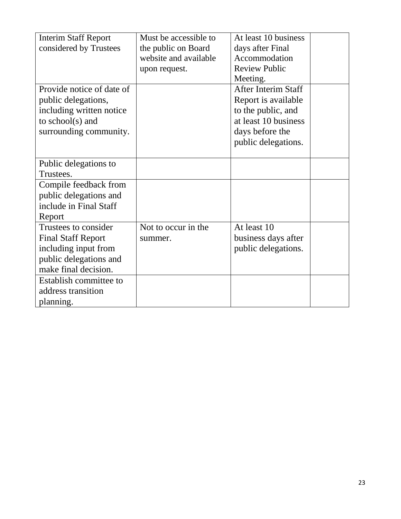| <b>Interim Staff Report</b> | Must be accessible to | At least 10 business       |  |
|-----------------------------|-----------------------|----------------------------|--|
| considered by Trustees      | the public on Board   | days after Final           |  |
|                             | website and available | Accommodation              |  |
|                             | upon request.         | <b>Review Public</b>       |  |
|                             |                       | Meeting.                   |  |
| Provide notice of date of   |                       | <b>After Interim Staff</b> |  |
| public delegations,         |                       | Report is available        |  |
| including written notice    |                       | to the public, and         |  |
| to school( $s$ ) and        |                       | at least 10 business       |  |
| surrounding community.      |                       | days before the            |  |
|                             |                       | public delegations.        |  |
|                             |                       |                            |  |
| Public delegations to       |                       |                            |  |
| Trustees.                   |                       |                            |  |
| Compile feedback from       |                       |                            |  |
| public delegations and      |                       |                            |  |
| include in Final Staff      |                       |                            |  |
| Report                      |                       |                            |  |
| Trustees to consider        | Not to occur in the   | At least 10                |  |
| <b>Final Staff Report</b>   | summer.               | business days after        |  |
| including input from        |                       | public delegations.        |  |
| public delegations and      |                       |                            |  |
| make final decision.        |                       |                            |  |
| Establish committee to      |                       |                            |  |
| address transition          |                       |                            |  |
| planning.                   |                       |                            |  |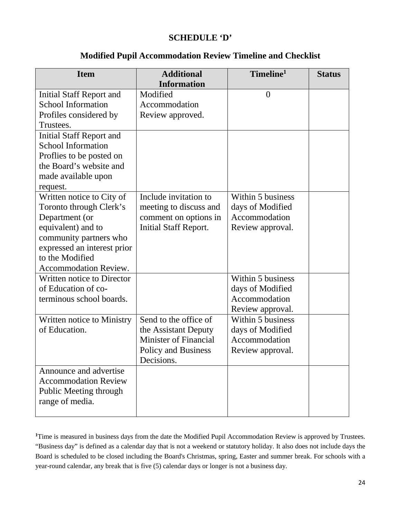#### **SCHEDULE 'D'**

#### **Modified Pupil Accommodation Review Timeline and Checklist**

| <b>Item</b>                       | <b>Additional</b><br><b>Information</b> | Timeline <sup>1</sup> | <b>Status</b> |
|-----------------------------------|-----------------------------------------|-----------------------|---------------|
| Initial Staff Report and          | Modified                                | $\overline{0}$        |               |
| <b>School Information</b>         | Accommodation                           |                       |               |
| Profiles considered by            | Review approved.                        |                       |               |
| Trustees.                         |                                         |                       |               |
| <b>Initial Staff Report and</b>   |                                         |                       |               |
| <b>School Information</b>         |                                         |                       |               |
| Proflies to be posted on          |                                         |                       |               |
| the Board's website and           |                                         |                       |               |
| made available upon               |                                         |                       |               |
| request.                          |                                         |                       |               |
| Written notice to City of         | Include invitation to                   | Within 5 business     |               |
| Toronto through Clerk's           | meeting to discuss and                  | days of Modified      |               |
| Department (or                    | comment on options in                   | Accommodation         |               |
| equivalent) and to                | <b>Initial Staff Report.</b>            | Review approval.      |               |
| community partners who            |                                         |                       |               |
| expressed an interest prior       |                                         |                       |               |
| to the Modified                   |                                         |                       |               |
| Accommodation Review.             |                                         |                       |               |
| <b>Written notice to Director</b> |                                         | Within 5 business     |               |
| of Education of co-               |                                         | days of Modified      |               |
| terminous school boards.          |                                         | Accommodation         |               |
|                                   |                                         | Review approval.      |               |
| Written notice to Ministry        | Send to the office of                   | Within 5 business     |               |
| of Education.                     | the Assistant Deputy                    | days of Modified      |               |
|                                   | <b>Minister of Financial</b>            | Accommodation         |               |
|                                   | Policy and Business                     | Review approval.      |               |
|                                   | Decisions.                              |                       |               |
| Announce and advertise            |                                         |                       |               |
| <b>Accommodation Review</b>       |                                         |                       |               |
| Public Meeting through            |                                         |                       |               |
| range of media.                   |                                         |                       |               |
|                                   |                                         |                       |               |

 "Business day" is defined as a calendar day that is not a weekend or statutory holiday. It also does not include days the Board is scheduled to be closed including the Board's Christmas, spring, Easter and summer break. For schools with a <sup>1</sup>Time is measured in business days from the date the Modified Pupil Accommodation Review is approved by Trustees. year-round calendar, any break that is five (5) calendar days or longer is not a business day.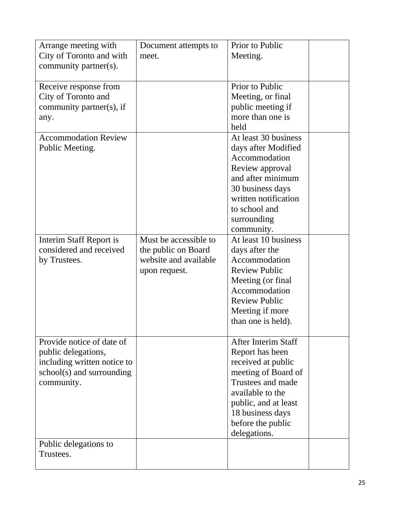| Arrange meeting with        | Document attempts to  | Prior to Public            |  |
|-----------------------------|-----------------------|----------------------------|--|
| City of Toronto and with    | meet.                 | Meeting.                   |  |
| community partner(s).       |                       |                            |  |
| Receive response from       |                       | Prior to Public            |  |
| City of Toronto and         |                       | Meeting, or final          |  |
| community partner(s), if    |                       | public meeting if          |  |
| any.                        |                       | more than one is           |  |
|                             |                       | held                       |  |
| <b>Accommodation Review</b> |                       | At least 30 business       |  |
| Public Meeting.             |                       | days after Modified        |  |
|                             |                       | Accommodation              |  |
|                             |                       | Review approval            |  |
|                             |                       | and after minimum          |  |
|                             |                       | 30 business days           |  |
|                             |                       | written notification       |  |
|                             |                       | to school and              |  |
|                             |                       | surrounding                |  |
|                             |                       | community.                 |  |
| Interim Staff Report is     | Must be accessible to | At least 10 business       |  |
| considered and received     | the public on Board   | days after the             |  |
| by Trustees.                | website and available | Accommodation              |  |
|                             | upon request.         | <b>Review Public</b>       |  |
|                             |                       | Meeting (or final          |  |
|                             |                       | Accommodation              |  |
|                             |                       | <b>Review Public</b>       |  |
|                             |                       | Meeting if more            |  |
|                             |                       | than one is held).         |  |
| Provide notice of date of   |                       | <b>After Interim Staff</b> |  |
| public delegations,         |                       | Report has been            |  |
| including written notice to |                       | received at public         |  |
| school(s) and surrounding   |                       | meeting of Board of        |  |
| community.                  |                       | Trustees and made          |  |
|                             |                       | available to the           |  |
|                             |                       | public, and at least       |  |
|                             |                       | 18 business days           |  |
|                             |                       | before the public          |  |
|                             |                       | delegations.               |  |
| Public delegations to       |                       |                            |  |
| Trustees.                   |                       |                            |  |
|                             |                       |                            |  |